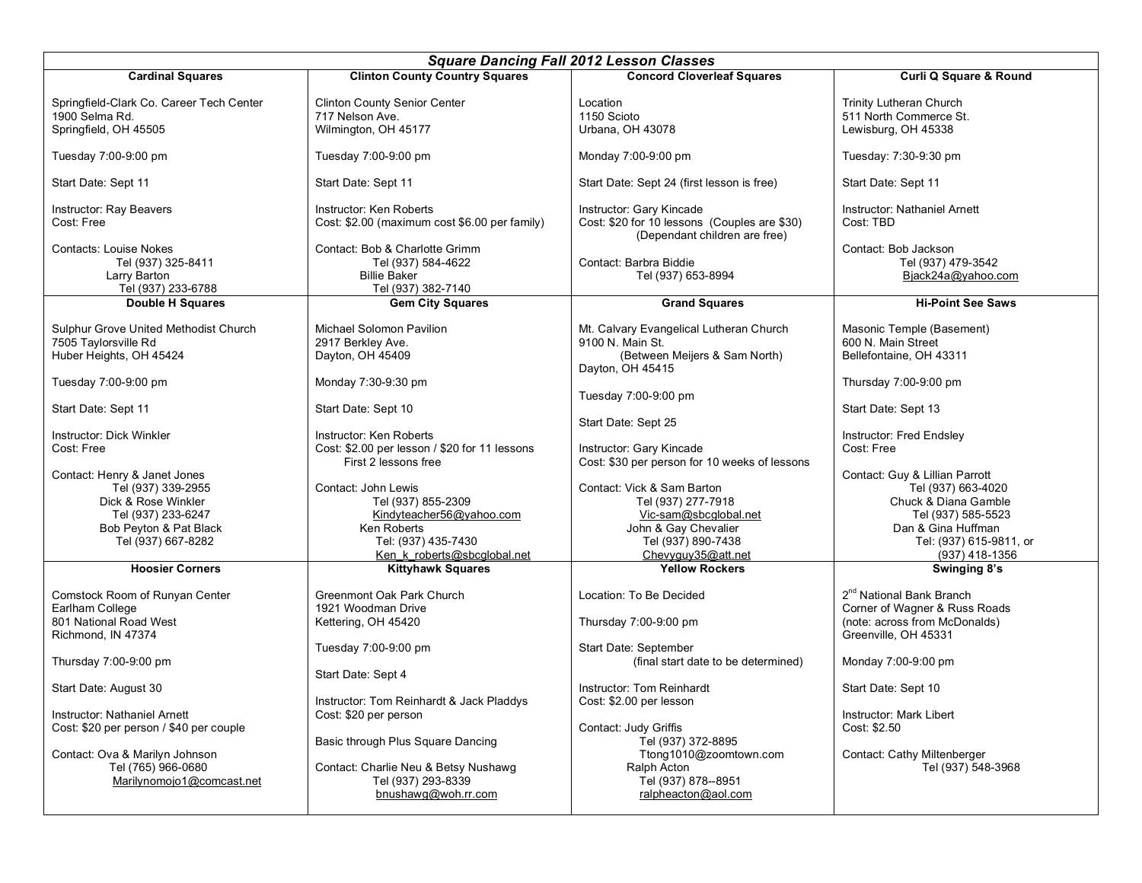| <b>Square Dancing Fall 2012 Lesson Classes</b>                                                                                                                                                                                                                                                                      |                                                                                                                                                                                                                                                                                                                     |                                                                                                                                                                                                                                                                                                                                                   |                                                                                                                                                                                                                                                                                                  |  |  |
|---------------------------------------------------------------------------------------------------------------------------------------------------------------------------------------------------------------------------------------------------------------------------------------------------------------------|---------------------------------------------------------------------------------------------------------------------------------------------------------------------------------------------------------------------------------------------------------------------------------------------------------------------|---------------------------------------------------------------------------------------------------------------------------------------------------------------------------------------------------------------------------------------------------------------------------------------------------------------------------------------------------|--------------------------------------------------------------------------------------------------------------------------------------------------------------------------------------------------------------------------------------------------------------------------------------------------|--|--|
| <b>Cardinal Squares</b>                                                                                                                                                                                                                                                                                             | <b>Clinton County Country Squares</b>                                                                                                                                                                                                                                                                               | <b>Concord Cloverleaf Squares</b>                                                                                                                                                                                                                                                                                                                 | Curli Q Square & Round                                                                                                                                                                                                                                                                           |  |  |
| Springfield-Clark Co. Career Tech Center<br>1900 Selma Rd.<br>Springfield, OH 45505                                                                                                                                                                                                                                 | <b>Clinton County Senior Center</b><br>717 Nelson Ave.<br>Wilmington, OH 45177                                                                                                                                                                                                                                      | Location<br>1150 Scioto<br>Urbana, OH 43078                                                                                                                                                                                                                                                                                                       | Trinity Lutheran Church<br>511 North Commerce St.<br>Lewisburg, OH 45338                                                                                                                                                                                                                         |  |  |
| Tuesday 7:00-9:00 pm                                                                                                                                                                                                                                                                                                | Tuesday 7:00-9:00 pm                                                                                                                                                                                                                                                                                                | Monday 7:00-9:00 pm                                                                                                                                                                                                                                                                                                                               | Tuesday: 7:30-9:30 pm                                                                                                                                                                                                                                                                            |  |  |
| Start Date: Sept 11                                                                                                                                                                                                                                                                                                 | Start Date: Sept 11                                                                                                                                                                                                                                                                                                 | Start Date: Sept 24 (first lesson is free)                                                                                                                                                                                                                                                                                                        | Start Date: Sept 11                                                                                                                                                                                                                                                                              |  |  |
| Instructor: Ray Beavers<br>Cost: Free                                                                                                                                                                                                                                                                               | Instructor: Ken Roberts<br>Cost: \$2.00 (maximum cost \$6.00 per family)                                                                                                                                                                                                                                            | Instructor: Gary Kincade<br>Cost: \$20 for 10 lessons (Couples are \$30)<br>(Dependant children are free)                                                                                                                                                                                                                                         | Instructor: Nathaniel Arnett<br>Cost: TBD                                                                                                                                                                                                                                                        |  |  |
| <b>Contacts: Louise Nokes</b><br>Tel (937) 325-8411<br>Larry Barton<br>Tel (937) 233-6788                                                                                                                                                                                                                           | Contact: Bob & Charlotte Grimm<br>Tel (937) 584-4622<br><b>Billie Baker</b><br>Tel (937) 382-7140                                                                                                                                                                                                                   | Contact: Barbra Biddie<br>Tel (937) 653-8994                                                                                                                                                                                                                                                                                                      | Contact: Bob Jackson<br>Tel (937) 479-3542<br>Bjack24a@yahoo.com                                                                                                                                                                                                                                 |  |  |
| Double H Squares                                                                                                                                                                                                                                                                                                    | <b>Gem City Squares</b>                                                                                                                                                                                                                                                                                             | <b>Grand Squares</b>                                                                                                                                                                                                                                                                                                                              | <b>Hi-Point See Saws</b>                                                                                                                                                                                                                                                                         |  |  |
| Sulphur Grove United Methodist Church<br>7505 Taylorsville Rd<br>Huber Heights, OH 45424<br>Tuesday 7:00-9:00 pm<br>Start Date: Sept 11<br>Instructor: Dick Winkler<br>Cost: Free<br>Contact: Henry & Janet Jones<br>Tel (937) 339-2955<br>Dick & Rose Winkler<br>Tel (937) 233-6247<br>Bob Peyton & Pat Black      | Michael Solomon Pavilion<br>2917 Berkley Ave.<br>Dayton, OH 45409<br>Monday 7:30-9:30 pm<br>Start Date: Sept 10<br>Instructor: Ken Roberts<br>Cost: \$2.00 per lesson / \$20 for 11 lessons<br>First 2 lessons free<br>Contact: John Lewis<br>Tel (937) 855-2309<br>Kindyteacher56@yahoo.com<br>Ken Roberts         | Mt. Calvary Evangelical Lutheran Church<br>9100 N. Main St.<br>(Between Meijers & Sam North)<br>Dayton, OH 45415<br>Tuesday 7:00-9:00 pm<br>Start Date: Sept 25<br>Instructor: Gary Kincade<br>Cost: \$30 per person for 10 weeks of lessons<br>Contact: Vick & Sam Barton<br>Tel (937) 277-7918<br>Vic-sam@sbcglobal.net<br>John & Gay Chevalier | Masonic Temple (Basement)<br>600 N. Main Street<br>Bellefontaine, OH 43311<br>Thursday 7:00-9:00 pm<br>Start Date: Sept 13<br>Instructor: Fred Endsley<br>Cost: Free<br>Contact: Guy & Lillian Parrott<br>Tel (937) 663-4020<br>Chuck & Diana Gamble<br>Tel (937) 585-5523<br>Dan & Gina Huffman |  |  |
| Tel (937) 667-8282                                                                                                                                                                                                                                                                                                  | Tel: (937) 435-7430                                                                                                                                                                                                                                                                                                 | Tel (937) 890-7438                                                                                                                                                                                                                                                                                                                                | Tel: (937) 615-9811, or                                                                                                                                                                                                                                                                          |  |  |
| <b>Hoosier Corners</b>                                                                                                                                                                                                                                                                                              | Ken k roberts@sbcqlobal.net<br><b>Kittyhawk Squares</b>                                                                                                                                                                                                                                                             | Chevyguy35@att.net<br><b>Yellow Rockers</b>                                                                                                                                                                                                                                                                                                       | (937) 418-1356<br>Swinging 8's                                                                                                                                                                                                                                                                   |  |  |
| Comstock Room of Runyan Center<br>Earlham College<br>801 National Road West<br>Richmond, IN 47374<br>Thursday 7:00-9:00 pm<br>Start Date: August 30<br>Instructor: Nathaniel Arnett<br>Cost: \$20 per person / \$40 per couple<br>Contact: Ova & Marilyn Johnson<br>Tel (765) 966-0680<br>Marilynomojo1@comcast.net | Greenmont Oak Park Church<br>1921 Woodman Drive<br>Kettering, OH 45420<br>Tuesday 7:00-9:00 pm<br>Start Date: Sept 4<br>Instructor: Tom Reinhardt & Jack Pladdys<br>Cost: \$20 per person<br>Basic through Plus Square Dancing<br>Contact: Charlie Neu & Betsy Nushawg<br>Tel (937) 293-8339<br>bnushawg@woh.rr.com | Location: To Be Decided<br>Thursday 7:00-9:00 pm<br>Start Date: September<br>(final start date to be determined)<br>Instructor: Tom Reinhardt<br>Cost: \$2.00 per lesson<br>Contact: Judy Griffis<br>Tel (937) 372-8895<br>Ttong1010@zoomtown.com<br>Ralph Acton<br>Tel (937) 878--8951<br>ralpheacton@aol.com                                    | 2 <sup>nd</sup> National Bank Branch<br>Corner of Wagner & Russ Roads<br>(note: across from McDonalds)<br>Greenville, OH 45331<br>Monday 7:00-9:00 pm<br>Start Date: Sept 10<br>Instructor: Mark Libert<br>Cost: \$2.50<br>Contact: Cathy Miltenberger<br>Tel (937) 548-3968                     |  |  |